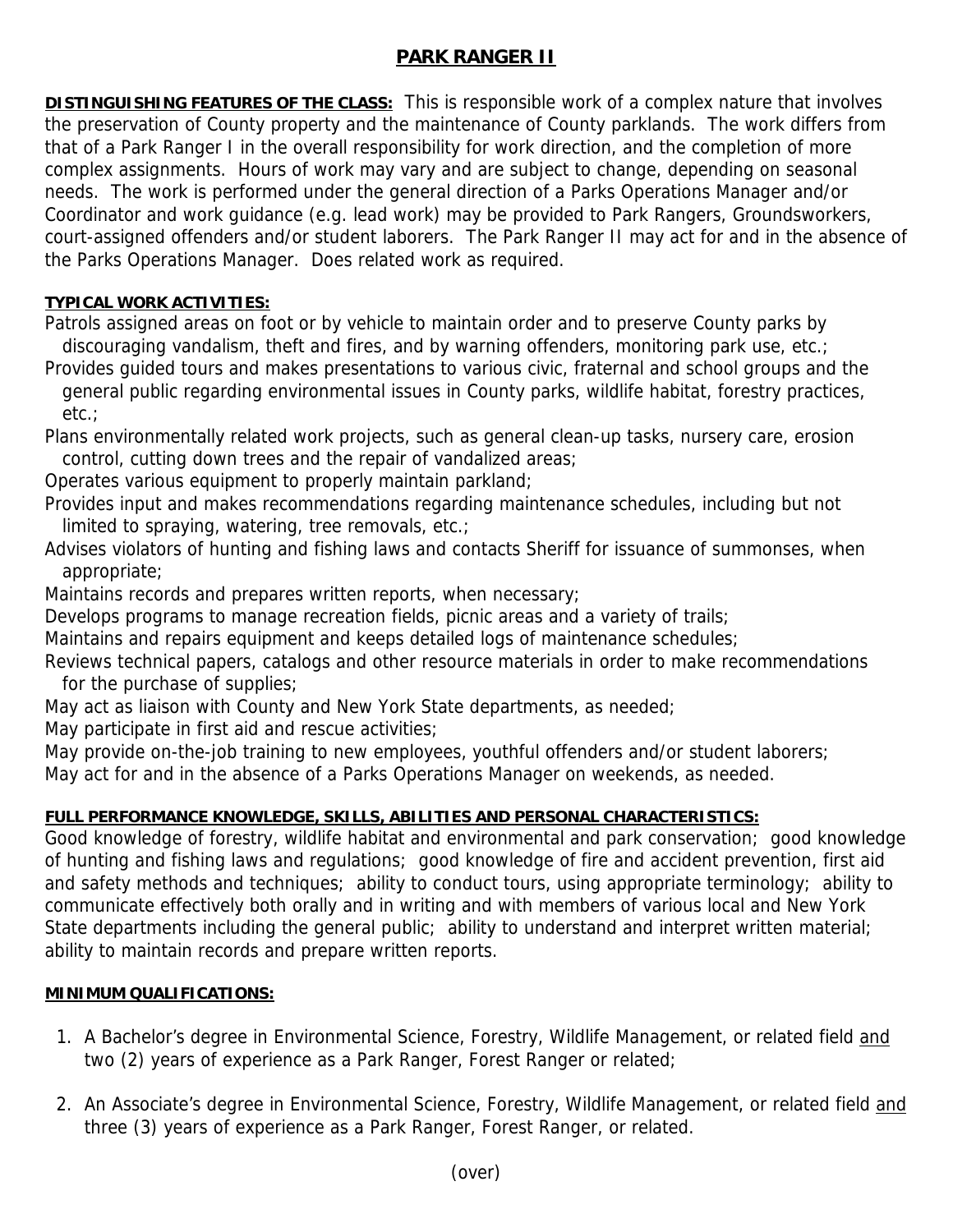# **PARK RANGER II**

**DISTINGUISHING FEATURES OF THE CLASS:** This is responsible work of a complex nature that involves the preservation of County property and the maintenance of County parklands. The work differs from that of a Park Ranger I in the overall responsibility for work direction, and the completion of more complex assignments. Hours of work may vary and are subject to change, depending on seasonal needs. The work is performed under the general direction of a Parks Operations Manager and/or Coordinator and work guidance (e.g. lead work) may be provided to Park Rangers, Groundsworkers, court-assigned offenders and/or student laborers. The Park Ranger II may act for and in the absence of the Parks Operations Manager. Does related work as required.

#### **TYPICAL WORK ACTIVITIES:**

Patrols assigned areas on foot or by vehicle to maintain order and to preserve County parks by discouraging vandalism, theft and fires, and by warning offenders, monitoring park use, etc.;

Provides guided tours and makes presentations to various civic, fraternal and school groups and the general public regarding environmental issues in County parks, wildlife habitat, forestry practices, etc.;

Plans environmentally related work projects, such as general clean-up tasks, nursery care, erosion control, cutting down trees and the repair of vandalized areas;

Operates various equipment to properly maintain parkland;

Provides input and makes recommendations regarding maintenance schedules, including but not limited to spraying, watering, tree removals, etc.;

Advises violators of hunting and fishing laws and contacts Sheriff for issuance of summonses, when appropriate;

Maintains records and prepares written reports, when necessary;

Develops programs to manage recreation fields, picnic areas and a variety of trails;

Maintains and repairs equipment and keeps detailed logs of maintenance schedules;

Reviews technical papers, catalogs and other resource materials in order to make recommendations for the purchase of supplies;

May act as liaison with County and New York State departments, as needed;

May participate in first aid and rescue activities;

May provide on-the-job training to new employees, youthful offenders and/or student laborers;

May act for and in the absence of a Parks Operations Manager on weekends, as needed.

# **FULL PERFORMANCE KNOWLEDGE, SKILLS, ABILITIES AND PERSONAL CHARACTERISTICS:**

Good knowledge of forestry, wildlife habitat and environmental and park conservation; good knowledge of hunting and fishing laws and regulations; good knowledge of fire and accident prevention, first aid and safety methods and techniques; ability to conduct tours, using appropriate terminology; ability to communicate effectively both orally and in writing and with members of various local and New York State departments including the general public; ability to understand and interpret written material; ability to maintain records and prepare written reports.

### **MINIMUM QUALIFICATIONS:**

- 1. A Bachelor's degree in Environmental Science, Forestry, Wildlife Management, or related field and two (2) years of experience as a Park Ranger, Forest Ranger or related;
- 2. An Associate's degree in Environmental Science, Forestry, Wildlife Management, or related field and three (3) years of experience as a Park Ranger, Forest Ranger, or related.